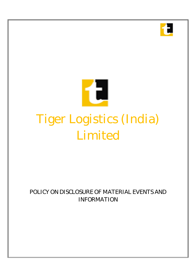



# **POLICY ON DISCLOSURE OF MATERIAL EVENTS AND INFORMATION**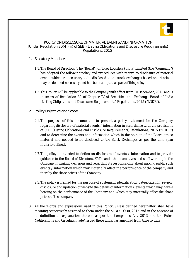

## **POLICY ON DISCLOSURE OF MATERIAL EVENTS AND INFORMATION [Under Regulation 30(4) (ii) of SEBI (Listing Obligations and Disclosure Requirements) Regulations, 2015]**

# **1. Statutory Mandate**

- 1.1.The Board of Directors (The "Board") of Tiger Logistics (India) Limited (the "Company") has adopted the following policy and procedures with regard to disclosure of material events which are necessary to be disclosed to the stock exchanges based on criteria as may be deemed necessary and has been adopted as part of this policy.
- 1.2.This Policy will be applicable to the Company with effect from 1st December, 2015 and is in terms of Regulation 30 of Chapter IV of Securities and Exchange Board of India (Listing Obligations and Disclosure Requirements) Regulations, 2015 ("LODR").

# **2. Policy Objective and Scope**

- 2.1.The purpose of this document is to present a policy statement for the Company regarding disclosure of material events / information in accordance with the provisions of SEBI (Listing Obligations and Disclosure Requirements) Regulations, 2015 ("LODR") and to determine the events and information which in the opinion of the Board are so material and needed to be disclosed to the Stock Exchanges as per the time span hitherto defined.
- 2.2.The policy is intended to define on disclosure of events / information and to provide guidance to the Board of Directors, KMPs and other executives and staff working in the Company in making decisions and regarding its responsibility about making public such events / information which may materially affect the performance of the company and thereby the share prices of the Company.
- 2.3.The policy is framed for the purpose of systematic identification, categorization, review, disclosure and updation of website the details of information / events which may have a bearing on the performance of the Company and which may materially affect the share prices of the company.
- 3. All the Words and expressions used in this Policy, unless defined hereinafter, shall have meaning respectively assigned to them under the SEBI's LODR, 2015 and in the absence of its definition or explanation therein, as per the Companies Act, 2013 and the Rules, Notifications and Circulars made/issued there under, as amended from time to time.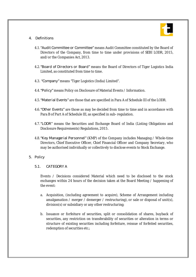

## **4. Definitions**

- 4.1.**"Audit Committee or Committee"** means Audit Committee constituted by the Board of Directors of the Company, from time to time under provisions of SEBI LODR, 2015, and/or the Companies Act, 2013.
- 4.2.**"Board of Directors or Board"** means the Board of Directors of Tiger Logistics India Limited, as constituted from time to time.
- 4.3. **"Company"** means "Tiger Logistics (India) Limited".
- 4.4.**"Policy"** means Policy on Disclosure of Material Events / Information.
- 4.5.**"Material Events"** are those that are specified in Para A of Schedule III of the LODR.
- 4.6.**"Other Events"** are those as may be decided from time to time and in accordance with Para B of Part A of Schedule III, as specified in sub regulation.
- 4.7.**"LODR"** means the Securities and Exchange Board of India (Listing Obligations and Disclosure Requirements) Regulations, 2015.
- 4.8.**"Key Managerial Personnel"** (KMP) of the Company includes Managing / Whole time Directors, Chief Executive Officer, Chief Financial Officer and Company Secretary, who may be authorised individually or collectively to disclose events to Stock Exchange.

## **5. Policy**

## **5.1. CATEGORY A**

Events / Decisions considered Material which need to be disclosed to the stock exchanges within 24 hours of the decision taken at the Board Meeting / happening of the event:

- a. Acquisition, (including agreement to acquire), Scheme of Arrangement including amalgamation / merger / demerger / restructuring), or sale or disposal of unit(s), division(s) or subsidiary or any other restructuring;
- b. Issuance or forfeiture of securities, split or consolidation of shares, buyback of securities, any restriction on transferability of securities or alteration in terms or structure of existing securities including forfeiture, reissue of forfeited securities, redemption of securities etc.;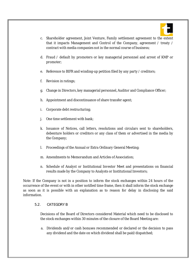

- c. Shareholder agreement, Joint Venture, Family settlement agreement to the extent that it impacts Management and Control of the Company, agreement / treaty / contract with media companies not in the normal course of business;
- d. Fraud / default by promoters or key managerial personnel and arrest of KMP or promoter;
- e. Reference to BIFR and winding up petition filed by any party / creditors;
- f. Revision in ratings;
- g. Change in Directors, key managerial personnel, Auditor and Compliance Officer;
- h. Appointment and discontinuance of share transfer agent;
- i. Corporate debt restructuring;
- j. One time settlement with bank;
- k. Issuance of Notices, call letters, resolutions and circulars sent to shareholders, debenture holders or creditors or any class of them or advertised in the media by the Company;
- l. Proceedings of the Annual or Extra Ordinary General Meeting;
- m. Amendments to Memorandum and Articles of Association;
- n. Schedule of Analyst or Institutional Investor Meet and presentations on financial results made by the Company to Analysts or Institutional Investors;

Note: If the Company is not in a position to inform the stock exchanges within 24 hours of the occurrence of the event or with in other notified time frame, then it shall inform the stock exchange as soon as it is possible with an explanation as to reason for delay in disclosing the said information.

## **5.2. CATEGORY B**

Decisions of the Board of Directors considered Material which need to be disclosed to the stock exchanges within 30 minutes of the closure of the Board Meeting are:

a. Dividends and/or cash bonuses recommended or declared or the decision to pass any dividend and the date on which dividend shall be paid/dispatched;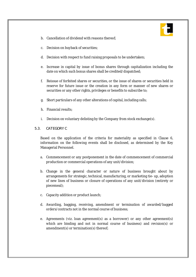

- b. Cancellation of dividend with reasons thereof;
- c. Decision on buyback of securities;
- d. Decision with respect to fund raising proposals to be undertaken;
- e. Increase in capital by issue of bonus shares through capitalization including the date on which such bonus shares shall be credited/dispatched;
- f. Reissue of forfeited shares or securities, or the issue of shares or securities held in reserve for future issue or the creation in any form or manner of new shares or securities or any other rights, privileges or benefits to subscribe to;
- g. Short particulars of any other alterations of capital, including calls;
- h. Financial results;
- i. Decision on voluntary delisting by the Company from stock exchange(s).

## **5.3. CATEGORY C**

Based on the application of the criteria for materiality as specified in Clause 6, information on the following events shall be disclosed, as determined by the Key Managerial Personnel.

- a. Commencement or any postponement in the date of commencement of commercial production or commercial operations of any unit/division;
- b. Change in the general character or nature of business brought about by arrangements for strategic, technical, manufacturing, or marketing tie up, adoption of new lines of business or closure of operations of any unit/division (entirety or piecemeal);
- c. Capacity addition or product launch;
- d. Awarding, bagging, receiving, amendment or termination of awarded/bagged orders/contracts not in the normal course of business;
- e. Agreements (viz. loan agreement(s) as a borrower) or any other agreement(s) which are binding and not in normal course of business) and revision(s) or amendment(s) or termination(s) thereof;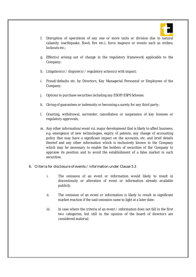

- f. Disruption of operations of any one or more units or division due to natural calamity (earthquake, flood, fire etc.), force majeure or events such as strikes, lockouts etc.:
- g. Effect(s) arising out of change in the regulatory framework applicable to the Company;
- h. Litigation(s) / dispute(s) / regulatory action(s) with impact;
- i. Fraud/defaults etc. by Directors, Key Managerial Personnel or Employees of the Company;
- j. Options to purchase securities including any ESOP/ESPS Scheme;
- k. Giving of guarantees or indemnity or becoming a surety for any third party;
- l. Granting, withdrawal, surrender, cancellation or suspension of key licenses or regulatory approvals;
- m. Any other information/event viz. major development that is likely to affect business, e.g. emergence of new technologies, expiry of patents, any change of accounting policy that may have a significant impact on the accounts, etc. and brief details thereof and any other information which is exclusively known to the Company which may be necessary to enable the holders of securities of the Company to appraise its position and to avoid the establishment of a false market in such securities.

## **6. Criteria for disclosure of events / information under Clause 5.3**

- i. The omission of an event or information would likely to result in discontinuity or alteration of event or information already available publicly.
- ii. The omission of an event or information is likely to result in significant market reaction if the said omission came to light at a later date;
- iii. In case where the criteria of an event / information does not fall in the first two categories, but still in the opinion of the board of directors are considered material.